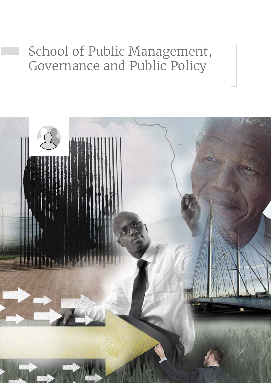# School of Public Management, Governance and Public Policy

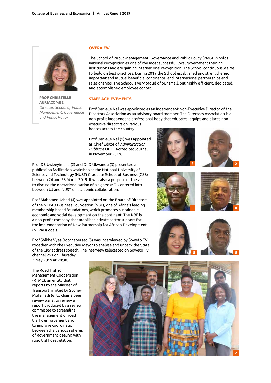

**Prof Christelle Auriacombe** *Director: School of Public Management, Governance and Public Policy*

#### **Overview**

The School of Public Management, Governance and Public Policy (PMGPP) holds national recognition as one of the most successful local government training institutions and are gaining international recognition. The School continuously aims to build on best practices. During 2019 the School established and strengthened important and mutual beneficial continental and international partnerships and relationships. The School is very proud of our small, but highly efficient, dedicated, and accomplished employee cohort.

## **Staff achievements**

Prof Danielle Nel was appointed as an Independent Non-Executive Director of the Directors Association as an advisory board member. The Directors Association is a non-profit independent professional body that educates, equips and places nonexecutive directors on various

boards across the country.

Prof Danielle Nel (1) was appointed as Chief Editor of *Administration Publica* a DHET accredited journal in November 2019.

Prof DE Uwizeyimana (2) and Dr D Ukwandu (3) presented a publication facilitation workshop at the National University of Science and Technology (NUST) Graduate School of Business (GSB) between 26 and 28 March 2019. It was also a purpose of the visit to discuss the operationalisation of a signed MOU entered into between UJ and NUST on academic collaboration.

Prof Mahomed Jahed (4) was appointed on the Board of Directors of the NEPAD Business Foundation (NBF), one of Africa's leading membership-based foundations, which promotes sustainable economic and social development on the continent. The NBF is a non-profit company that mobilises private sector support for the implementation of New Partnership for Africa's Development (NEPAD) goals.

Prof Shikha Vyas-Doorgapersad (5) was interviewed by Soweto TV together with the Executive Mayor to analyse and unpack the State of the City address speech. The interview telecasted on Soweto TV channel 251 on Thursday









The Road Traffic Management Cooperation (RTMC), an entity that reports to the Minister of Transport, invited Dr Sydney Mufamadi (6) to chair a peer review panel to review a report produced by a review committee to streamline the management of road traffic enforcement and to improve coordination between the various spheres of government dealing with road traffic regulation.

2 May 2019 at 20:30.

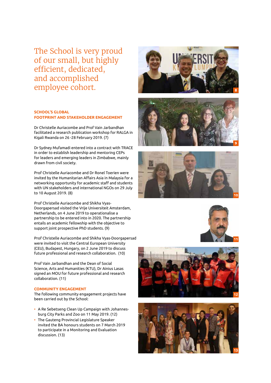The School is very proud of our small, but highly efficient, dedicated, and accomplished employee cohort.

# **School's global footprint and stakeholder engagement**

Dr Christelle Auriacombe and Prof Vain Jarbandhan facilitated a research publication workshop for RALGA in Kigali Rwanda on 26 -28 February 2019. (7)

Dr Sydney Mufamadi entered into a contract with TRACE in order to establish leadership and mentoring CEPs for leaders and emerging leaders in Zimbabwe, mainly drawn from civil society.

Prof Christelle Auriacombe and Dr Ronel Toerien were invited by the Humanitarian Affairs Asia in Malaysia for a networking opportunity for academic staff and students with UN stakeholders and international NGOs on 29 July to 10 August 2019. (8)

Prof Christelle Auriacombe and Shikha Vyas-Doorgapersad visited the Vrije Universiteit Amsterdam, Netherlands, on 4 June 2019 to operationalise a partnership to be entered into in 2020. The partnership entails an academic fellowship with the objective to support joint prospective PhD students. (9)

Prof Christelle Auriacombe and Shikha Vyas-Doorgapersad were invited to visit the Central European University (CEU), Budapest, Hungary, on 2 June 2019 to discuss future professional and research collaboration. (10)

Prof Vain Jarbandhan and the Dean of Social Science, Arts and Humanities (KTU), Dr Ainius Lasas signed an MOU for future professional and research collaboration. (11)

### **COMMUNITY ENGAGEMENT**

The following community engagement projects have been carried out by the School:

- A Re Sebetseng Clean Up Campaign with Johannesburg City Parks and Zoo on 11 May 2019. (12)
- The Gauteng Provincial Legislature Speaker invited the BA honours students on 7 March 2019 to participate in a Monitoring and Evaluation discussion. (13)